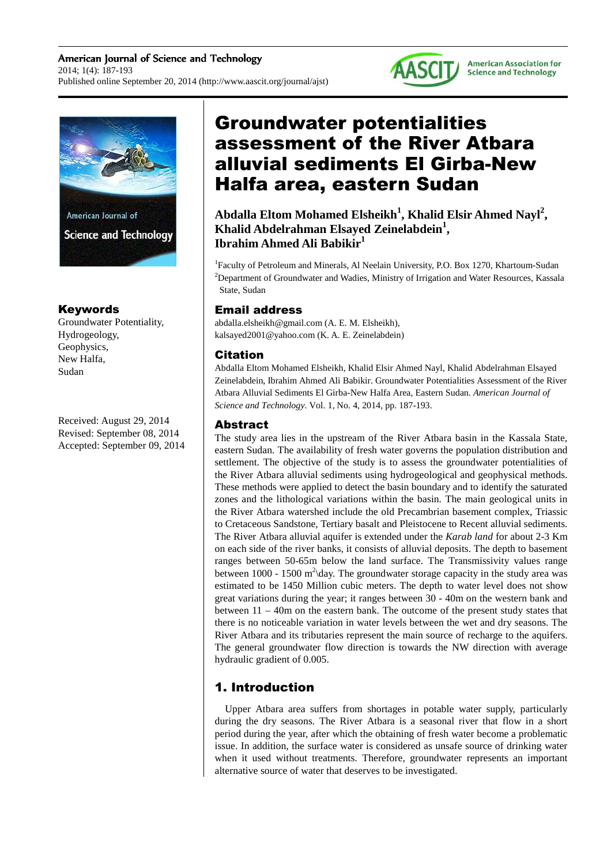American Journal of Science and Technology 2014; 1(4): 187-193 Published online September 20, 2014 (http://www.aascit.org/journal/ajst)



**American Association for Science and Technology** 



# Keywords

Groundwater Potentiality, Hydrogeology, Geophysics, New Halfa, Sudan

Received: August 29, 2014 Revised: September 08, 2014 Accepted: September 09, 2014

# Groundwater potentialities assessment of the River Atbara alluvial sediments El Girba-New Halfa area, eastern Sudan

**Abdalla Eltom Mohamed Elsheikh<sup>1</sup> , Khalid Elsir Ahmed Nayl<sup>2</sup> , Khalid Abdelrahman Elsayed Zeinelabdein<sup>1</sup> , Ibrahim Ahmed Ali Babikir<sup>1</sup>**

<sup>1</sup>Faculty of Petroleum and Minerals, Al Neelain University, P.O. Box 1270, Khartoum-Sudan <sup>2</sup>Department of Groundwater and Wadies, Ministry of Irrigation and Water Resources, Kassala State, Sudan

# Email address

abdalla.elsheikh@gmail.com (A. E. M. Elsheikh), kalsayed2001@yahoo.com (K. A. E. Zeinelabdein)

## Citation

Abdalla Eltom Mohamed Elsheikh, Khalid Elsir Ahmed Nayl, Khalid Abdelrahman Elsayed Zeinelabdein, Ibrahim Ahmed Ali Babikir. Groundwater Potentialities Assessment of the River Atbara Alluvial Sediments El Girba-New Halfa Area, Eastern Sudan. *American Journal of Science and Technology*. Vol. 1, No. 4, 2014, pp. 187-193.

# Abstract

The study area lies in the upstream of the River Atbara basin in the Kassala State, eastern Sudan. The availability of fresh water governs the population distribution and settlement. The objective of the study is to assess the groundwater potentialities of the River Atbara alluvial sediments using hydrogeological and geophysical methods. These methods were applied to detect the basin boundary and to identify the saturated zones and the lithological variations within the basin. The main geological units in the River Atbara watershed include the old Precambrian basement complex, Triassic to Cretaceous Sandstone, Tertiary basalt and Pleistocene to Recent alluvial sediments. The River Atbara alluvial aquifer is extended under the *Karab land* for about 2-3 Km on each side of the river banks, it consists of alluvial deposits. The depth to basement ranges between 50-65m below the land surface. The Transmissivity values range between 1000 - 1500 m<sup>2</sup> day. The groundwater storage capacity in the study area was estimated to be 1450 Million cubic meters. The depth to water level does not show great variations during the year; it ranges between 30 - 40m on the western bank and between 11 – 40m on the eastern bank. The outcome of the present study states that there is no noticeable variation in water levels between the wet and dry seasons. The River Atbara and its tributaries represent the main source of recharge to the aquifers. The general groundwater flow direction is towards the NW direction with average hydraulic gradient of 0.005.

# 1. Introduction

Upper Atbara area suffers from shortages in potable water supply, particularly during the dry seasons. The River Atbara is a seasonal river that flow in a short period during the year, after which the obtaining of fresh water become a problematic issue. In addition, the surface water is considered as unsafe source of drinking water when it used without treatments. Therefore, groundwater represents an important alternative source of water that deserves to be investigated.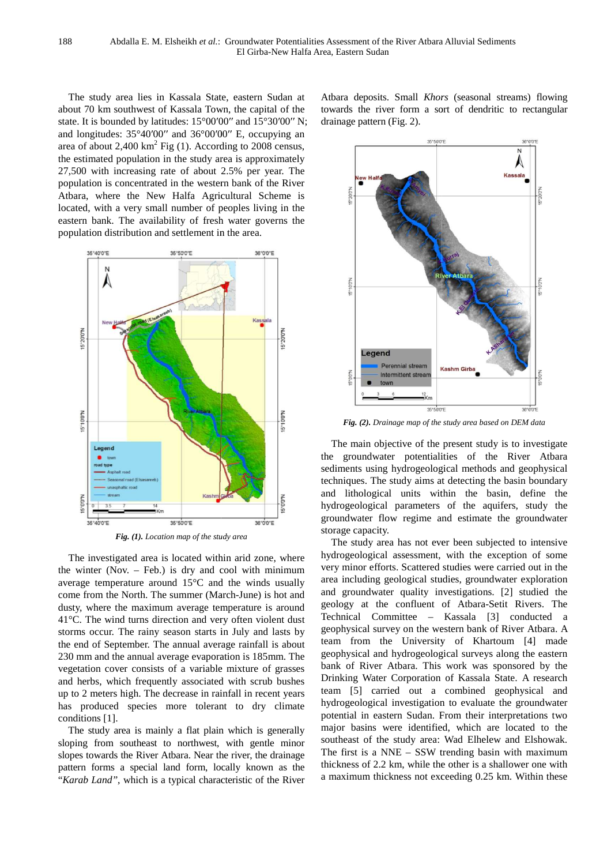The study area lies in Kassala State, e eastern Sudan at about 70 km southwest of Kassala Town, the capital of the state. It is bounded by latitudes: 15°00′00″ and 15°30′00″ N; and longitudes: 35°40′00′′ and 36°00′00′′ E, occupying an area of about  $2,400 \text{ km}^2$  Fig (1). According to 2008 census, the estimated population in the study area is approximately 27,500 with increasing rate of about 2.5% per year. The population is concentrated in the western bank of the River Atbara, where the New Halfa Agricultural Sch Scheme is located, with a very small number of peoples living in the eastern bank. The availability of fresh water governs the population distribution and settlement in the area.



The investigated area is located within arid zone, where the winter (Nov. – Feb.) is dry and cool with minimum average temperature around 15°C and the winds usually come from the North. The summer (March dusty, where the maximum average temperature is around 41°C. The wind turns direction and very often violent dust storms occur. The rainy season starts in July and lasts by the end of September. The annual average rainfall is about 230 mm and the annual average evaporation is 185mm. The vegetation cover consists of a variable mixture of grasses and herbs, which frequently associated with scrub bushes<br>up to 2 meters high. The decrease in rainfall in recent years<br>has produced species more tolerant to dry climate<br>conditions [1].<br>The study area is mainly a flat plain up to 2 meters high. The decrease in rainfall in recent years has produced species more tolerant to dry climate conditions [1]. %) is dry and cool with minimum<br>und  $15^{\circ}$ C and the winds usually<br>e summer (March-June) is hot and

The study area is mainly a flat plain which is generally sloping from southeast to northwest, with gentle minor slopes towards the River Atbara. Near the river, the drainage pattern forms a special land form, locally known as as the "Karab Land", which is a typical characteristic of the River

Atbara deposits. Small *Khors* (seasonal streams) flowing towards the river form a sort of dendritic to rectangular drainage pattern (Fig. 2).



*Fig. (2). Drainage map of the study area based on DEM data*

The main objective of the present study is to investigate the groundwater potentialities of the River Atbara sediments using hydrogeological methods and geophysical techniques. The study aims at detecting the basin boundary and lithological units within the basin, define the hydrogeological parameters of the aquifers, study the groundwater flow regime and estimate the groundwater storage capacity.

The study area has not ever been subjected to intensive hydrogeological assessment, with the exception of some very minor efforts. Scattered studies were carried out in the area including geological studies, groundwater exploration and groundwater quality investigations. [2] studied the geology at the confluent of Atbara-Setit Rivers. The Technical Committee – Kassala [3] conducted a geophysical survey on the western bank of River Atbara. A team from the University of Khartoum [4] made geophysical and hydrogeological surveys along the eastern bank of River Atbara. This work was sponsored by the Drinking Water Corporation of Kassala State. A research team [5] carried out a combined geophysical and hydrogeological investigation to evaluate the groundwater potential in eastern Sudan. From their interpretations two major basins were identified, which are located to the southeast of the study area: Wad Elhelew and Elshowak. The first is a NNE – SSW trending basin with maximum thickness of 2.2 km, while the other is a shallower one with a maximum thickness not exceeding 0.25 km. Within these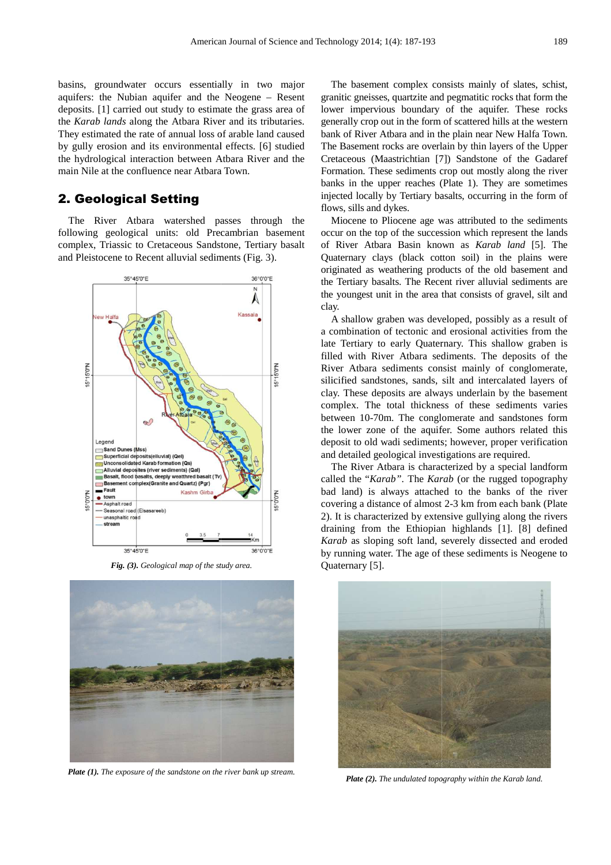basins, groundwater occurs essentially in two major aquifers: the Nubian aquifer and the Neogene – Resent deposits. [1] carried out study to estimate the grass area of the *Karab lands* along the Atbara River and its tributaries. They estimated the rate of annual loss of arable land caused by gully erosion and its environmental effects. [6] studied the hydrological interaction between Atbara River and the the hydrological interaction between Atbara R<br>main Nile at the confluence near Atbara Town.

# 2. Geological Setting

The River Atbara watershed passes through the following geological units: old Precambrian basement complex, Triassic to Cretaceous Sandstone, Tertiary basalt and Pleistocene to Recent alluvial sediments (Fig. 3).



**Fig.** (3). Geological map of the study area.



*Plate (1). The exposure of the sandstone on the river bank up stream.*

The basement complex consists mainly of slates, schist, granitic gneisses, quartzite and pegmatitic rocks that form the lower impervious boundary of the aquifer. These rocks generally crop out in the form of scattered hills at the western bank of River Atbara and in the plain near New Halfa Town. The Basement rocks are overlain by thin layers of the Upper Cretaceous (Maastrichtian [7]) Sandstone of the Gadaref Formation. These sediments crop out mostly along the river banks in the upper reaches (Plate 1). They are sometimes injected locally by Tertiary basalts, occurring in the form of flows, sills and dykes.

Miocene to Pliocene age was attributed to the sediments occur on the top of the succession which represent the lands of River Atbara Basin known as *Karab land* [5]. The Quaternary clays (black cotton soil) in the plains were originated as weathering products of the old basement and the Tertiary basalts. The Recent river alluvial sediments are the youngest unit in the area that consists of gravel, silt and clay.

A shallow graben was developed, possibly as a result of a combination of tectonic and erosional activities from the late Tertiary to early Quaternary. This shallow graben graben is filled with River Atbara sediments. The deposits of the River Atbara sediments consist mainly of conglomerate, silicified sandstones, sands, silt and intercalated layers of clay. These deposits are always underlain by the basement complex. The total thickness of these sediments varies between 10-70m. The conglomerate and sandstones form the lower zone of the aquifer. Some authors related this deposit to old wadi sediments; however, proper verification and detailed geological investigations are required. ickness of these sediments varies<br>70m. The conglomerate and sandstones form<br>one of the aquifer. Some authors related this<br>d wadi sediments; however, proper verification<br>geological investigations are required.<br>Atbara is cha

The River Atbara is characterized by a special landform called the "*Karab"*. The *Karab* (or the rugged topography bad land) is always attached to the banks of the river covering a distance of almost 2-3 km from each bank (Plate 2). It is characterized by extensive gullying along the rivers draining from the Ethiopian highlands [1]. [8] defined draining from the Ethiopian highlands [1]. [8] defined *Karab* as sloping soft land, severely dissected and eroded by running water. The age of these sediments is Neogene to Quaternary [5].



*Plate (2). The undulated topography within the Karab land.*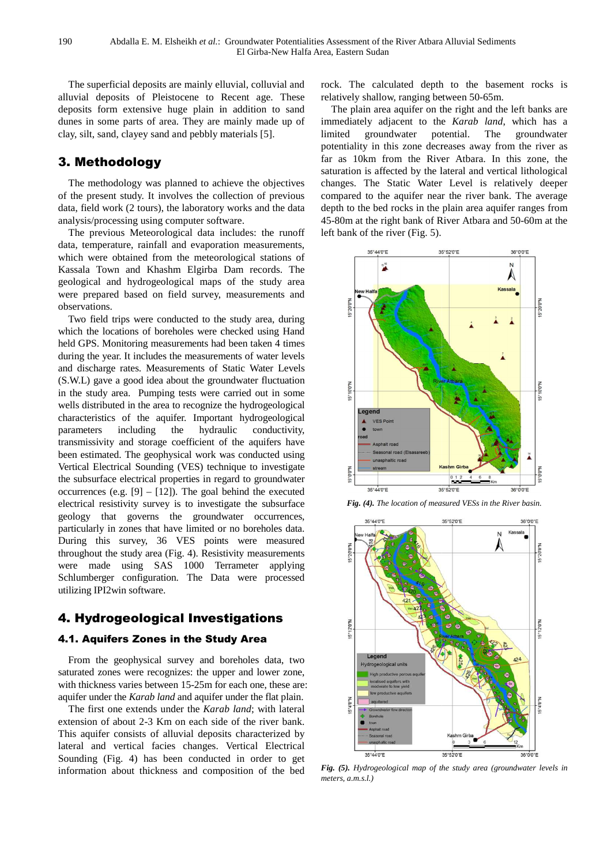The superficial deposits are mainly elluvial, colluvial and alluvial deposits of Pleistocene to Recent age. These deposits form extensive huge plain in addition to sand dunes in some parts of area. They are mainly made up of clay, silt, sand, clayey sand and pebbly materials materials [5].

# 3. Methodology

The methodology was planned to achieve the objectives of the present study. It involves the collection of previous data, field work (2 tours), the laboratory works and the data analysis/processing using computer software.

The previous Meteorological data includes: the runoff data, temperature, rainfall and evaporation measurements, which were obtained from the meteorological stations of Kassala Town and Khashm Elgirba Dam records. The geological and hydrogeological maps of the study area were prepared based on field survey, measurements and observations.

Two field trips were conducted to the study area, during which the locations of boreholes were checked using Hand held GPS. Monitoring measurements had been taken 4 times during the year. It includes the measurements of water levels and discharge rates. Measurements of Static Water Levels (S.W.L) gave a good idea about the groundwater fluctuation in the study area. Pumping tests were carried out in some wells distributed in the area to recognize the hydrogeological characteristics of the aquifer. Important hydrogeological parameters including the hydraulic conductivity, parameters including the hydraulic transmissivity and storage coefficient of the aquifers have been estimated. The geophysical work was conducted using Vertical Electrical Sounding (VES) technique to investigate the subsurface electrical properties in regard to groundwater occurrences (e.g.  $[9] - [12]$ ). The goal behind the executed electrical resistivity survey is to investigate the subsurface geology that governs the groundwater occurrences, particularly in zones that have limited or no boreholes data. During this survey, 36 VES points were measured throughout the study area (Fig. 4). Resistivity measurements were made using SAS 1000 Terrameter applying Schlumberger configuration. The Data were processed<br>
utilizing IPI2win software.<br> **4.1. Aquifers Zones in the Study Area**<br>
From the geophysical survey and boreholes data, two utilizing IPI2win software.

# 4. Hydrogeological Investigations

## 4.1. Aquifers Zones in the Study Area

From the geophysical survey and boreholes data, two saturated zones were recognizes: the upper and lower zone, with thickness varies between 15-25m for each one, these are: aquifer under the *Karab land* and aquifer under the flat plain.

The first one extends under the *Karab land*; with lateral extension of about 2-3 Km on each side of the river bank. This aquifer consists of alluvial deposits characterized by lateral and vertical facies changes. Vertical Electrical Sounding (Fig. 4) has been conducted in order to get information about thickness and composition of the bed 3 Km on each side of the river bank.<br>
of alluvial deposits characterized by<br>
facies changes. Vertical Electrical rock. The calculated depth to the basement rocks is relatively shallow, ranging between 50 50-65m.

The plain area aquifer on the right and the left banks are immediately adjacent to the Karab land, which has a limited groundwater potential. The groundwater potentiality in this zone decreases away from the river as far as 10km from the River Atbara. In this zone, the saturation is affected by the lateral and vertical lithological changes. The Static Water Level is relatively deeper compared to the aquifer near the river bank. The average depth to the bed rocks in the plain area aquifer ranges from 45-80m at the right bank of River Atbara and 50-60m at the left bank of the river (Fig. 5).







Fig. (5). Hydrogeological map of the study area (groundwater levels in *meters, a.m.s.l.)*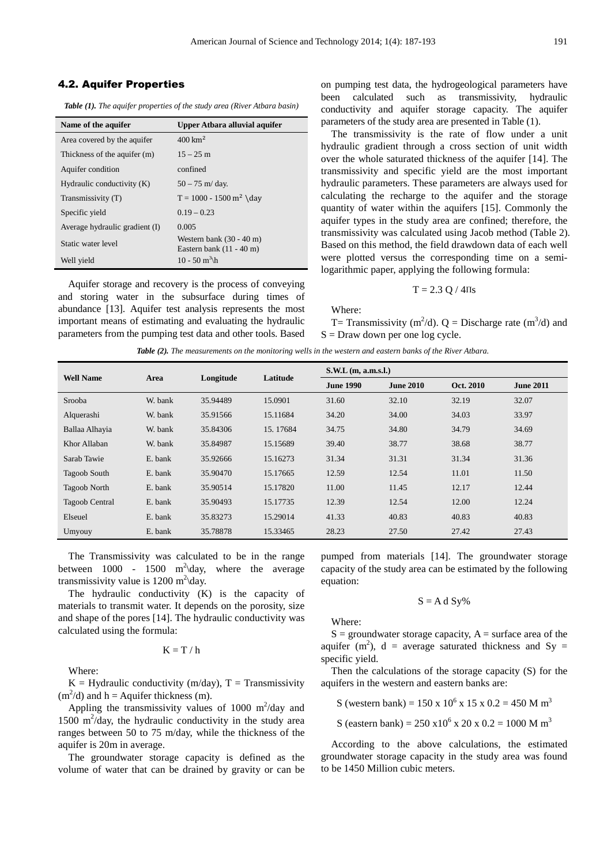#### 4.2. Aquifer Properties

*Table (1). The aquifer properties of the study area (River Atbara basin)* 

| Name of the aquifer            | Upper Atbara alluvial aquifer                                            |
|--------------------------------|--------------------------------------------------------------------------|
| Area covered by the aquifer    | $400 \text{ km}^2$                                                       |
| Thickness of the aquifer (m)   | $15 - 25$ m                                                              |
| Aquifer condition              | confined                                                                 |
| Hydraulic conductivity $(K)$   | $50 - 75$ m/day.                                                         |
| Transmissivity (T)             | $T = 1000 - 1500$ m <sup>2</sup> \day                                    |
| Specific vield                 | $0.19 - 0.23$                                                            |
| Average hydraulic gradient (I) | 0.005                                                                    |
| Static water level             | Western bank $(30 - 40 \text{ m})$<br>Eastern bank $(11 - 40 \text{ m})$ |
| Well yield                     | $10 - 50$ m <sup>3</sup> \h                                              |

Aquifer storage and recovery is the process of conveying and storing water in the subsurface during times of abundance [13]. Aquifer test analysis represents the most important means of estimating and evaluating the hydraulic parameters from the pumping test data and other tools. Based on pumping test data, the hydrogeological parameters have been calculated such as transmissivity, hydraulic conductivity and aquifer storage capacity. The aquifer parameters of the study area are presented in Table (1).

The transmissivity is the rate of flow under a unit hydraulic gradient through a cross section of unit width over the whole saturated thickness of the aquifer [14]. The transmissivity and specific yield are the most important hydraulic parameters. These parameters are always used for calculating the recharge to the aquifer and the storage quantity of water within the aquifers [15]. Commonly the aquifer types in the study area are confined; therefore, the transmissivity was calculated using Jacob method (Table 2). Based on this method, the field drawdown data of each well were plotted versus the corresponding time on a semilogarithmic paper, applying the following formula:

$$
T = 2.3 \ Q / 4 \Pi s
$$

Where:

T= Transmissivity (m<sup>2</sup>/d). Q = Discharge rate (m<sup>3</sup>/d) and  $S = Draw down per one log cycle.$ 

|  | Table (2). The measurements on the monitoring wells in the western and eastern banks of the River Atbara. |  |
|--|-----------------------------------------------------------------------------------------------------------|--|
|--|-----------------------------------------------------------------------------------------------------------|--|

| <b>Well Name</b>    | Area    | Longitude | Latitude | $S.W.L$ (m, a.m.s.l.) |                  |           |                  |
|---------------------|---------|-----------|----------|-----------------------|------------------|-----------|------------------|
|                     |         |           |          | <b>June 1990</b>      | <b>June 2010</b> | Oct. 2010 | <b>June 2011</b> |
| Srooba              | W. bank | 35.94489  | 15.0901  | 31.60                 | 32.10            | 32.19     | 32.07            |
| Alquerashi          | W. bank | 35.91566  | 15.11684 | 34.20                 | 34.00            | 34.03     | 33.97            |
| Ballaa Alhayia      | W. bank | 35.84306  | 15.17684 | 34.75                 | 34.80            | 34.79     | 34.69            |
| Khor Allaban        | W. bank | 35.84987  | 15.15689 | 39.40                 | 38.77            | 38.68     | 38.77            |
| Sarab Tawie         | E. bank | 35.92666  | 15.16273 | 31.34                 | 31.31            | 31.34     | 31.36            |
| <b>Tagoob South</b> | E. bank | 35.90470  | 15.17665 | 12.59                 | 12.54            | 11.01     | 11.50            |
| <b>Tagoob North</b> | E. bank | 35.90514  | 15.17820 | 11.00                 | 11.45            | 12.17     | 12.44            |
| Tagoob Central      | E. bank | 35.90493  | 15.17735 | 12.39                 | 12.54            | 12.00     | 12.24            |
| Elseuel             | E. bank | 35.83273  | 15.29014 | 41.33                 | 40.83            | 40.83     | 40.83            |
| Umyouy              | E. bank | 35.78878  | 15.33465 | 28.23                 | 27.50            | 27.42     | 27.43            |

The Transmissivity was calculated to be in the range between 1000 - 1500  $m^2$  day, where the average transmissivity value is  $1200 \text{ m}^2$  day.

The hydraulic conductivity (K) is the capacity of materials to transmit water. It depends on the porosity, size and shape of the pores [14]. The hydraulic conductivity was calculated using the formula:

 $K = T / h$ 

Where:

 $K = Hy$ draulic conductivity (m/day), T = Transmissivity  $(m<sup>2</sup>/d)$  and h = Aquifer thickness (m).

Appling the transmissivity values of 1000  $m^2$ /day and 1500  $\text{m}^2$ /day, the hydraulic conductivity in the study area ranges between 50 to 75 m/day, while the thickness of the aquifer is 20m in average.

The groundwater storage capacity is defined as the volume of water that can be drained by gravity or can be pumped from materials [14]. The groundwater storage capacity of the study area can be estimated by the following equation:

$$
S = A d S y \%
$$

Where:

 $S =$  groundwater storage capacity,  $A =$  surface area of the aquifer (m<sup>2</sup>), d = average saturated thickness and Sy = specific yield.

Then the calculations of the storage capacity (S) for the aquifers in the western and eastern banks are:

S (western bank) =  $150 \times 10^6 \times 15 \times 0.2 = 450$  M m<sup>3</sup>

S (eastern bank) =  $250 \times 10^6 \times 20 \times 0.2 = 1000$  M m<sup>3</sup>

According to the above calculations, the estimated groundwater storage capacity in the study area was found to be 1450 Million cubic meters.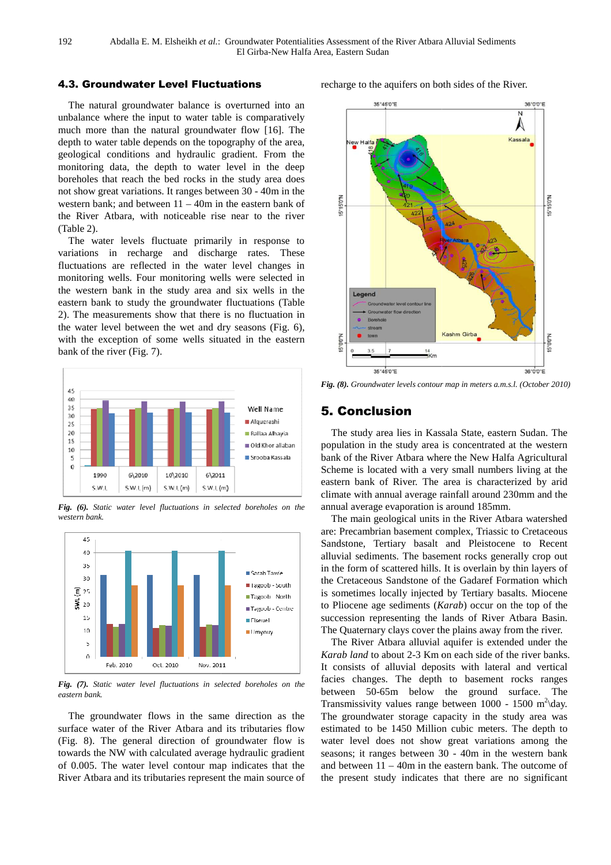### 4.3. Groundwater Level Fluctuations

The natural groundwater balance is overturned into an unbalance where the input to water table is comparatively much more than the natural groundwater flow [16]. The depth to water table depends on the topography of the area, geological conditions and hydraulic gradient. From the monitoring data, the depth to water level in the deep boreholes that reach the bed rocks in the study area does not show great variations. It ranges between 30 - 40m in the western bank; and between 11 – 40m in the eastern bank of the River Atbara, with noticeable rise near to the river (Table 2).

The water levels fluctuate primarily in response to variations in recharge and discharge rates. These fluctuations are reflected in the water level changes in monitoring wells. Four monitoring wells were selected in the western bank in the study area and six wells in the eastern bank to study the groundwater fluctuations (Table 2). The measurements show that there is no fluctuation in the water level between the wet and dry seasons (Fig. 6), with the exception of some wells situated in the eastern bank of the river (Fig. 7).



*Fig. (6). Static water level fluctuations in selected boreholes on the western bank.* 



*Fig. (7). Static water level fluctuations in selected boreholes on the eastern bank.* 

The groundwater flows in the same direction as the surface water of the River Atbara and its tributaries flow (Fig. 8). The general direction of groundwater flow is towards the NW with calculated average hydraulic gradient of 0.005. The water level contour map indicates that the River Atbara and its tributaries represent the main source of recharge to the aquifers on both sides of the River.



*Fig. (8). Groundwater levels contour map in meters a.m.s.l. (October 2010)* 

# 5. Conclusion

The study area lies in Kassala State, eastern Sudan. The population in the study area is concentrated at the western bank of the River Atbara where the New Halfa Agricultural Scheme is located with a very small numbers living at the eastern bank of River. The area is characterized by arid climate with annual average rainfall around 230mm and the climate with annual average rainfall around 230mm and the annual average evaporation is around 185mm.

The main geological units in the River Atbara watershed are: Precambrian basement complex, Triassic to Cretaceous Sandstone, Tertiary basalt and Pleistocene to Recent alluvial sediments. The basement rocks generally crop out in the form of scattered hills. It is overlain by thin layers of the Cretaceous Sandstone of the Gadaref Formation which is sometimes locally injected by Tertiary basalts. Miocene to Pliocene age sediments (*Karab* ) occur on the top of the succession representing the lands of River Atbara Basin. The Quaternary clays cover the plains away from the river.

The River Atbara alluvial aquifer is extended under the Karab land to about 2-3 Km on each side of the river banks. It consists of alluvial deposits with lateral and vertical facies changes. The depth to basement rocks ranges between 50-65m below the ground surface. The Transmissivity values range between  $1000 - 1500$  m<sup>2</sup>\day. The groundwater storage capacity in the study area was estimated to be 1450 Million cubic meters. The depth to water level does not show great variations among the seasons; it ranges between 30 - 40m in the western bank and between  $11 - 40m$  in the eastern bank. The outcome of the present study indicates that there are no significant